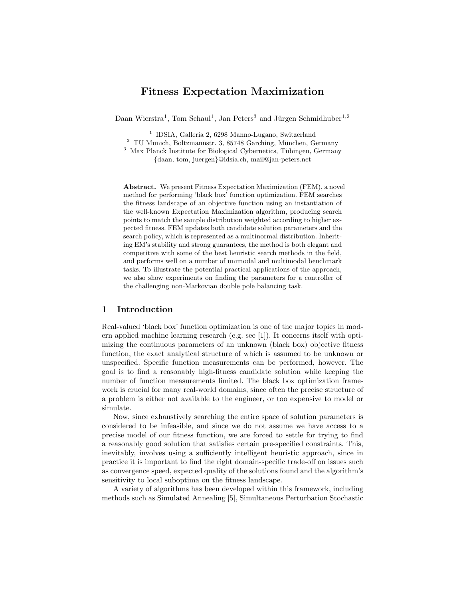# Fitness Expectation Maximization

Daan Wierstra<sup>1</sup>, Tom Schaul<sup>1</sup>, Jan Peters<sup>3</sup> and Jürgen Schmidhuber<sup>1,2</sup>

1 IDSIA, Galleria 2, 6298 Manno-Lugano, Switzerland

 $^2\,$  TU Munich, Boltzmannstr. 3, 85748 Garching, München, Germany

 $3$  Max Planck Institute for Biological Cybernetics, Tübingen, Germany

{daan, tom, juergen}@idsia.ch, mail@jan-peters.net

Abstract. We present Fitness Expectation Maximization (FEM), a novel method for performing 'black box' function optimization. FEM searches the fitness landscape of an objective function using an instantiation of the well-known Expectation Maximization algorithm, producing search points to match the sample distribution weighted according to higher expected fitness. FEM updates both candidate solution parameters and the search policy, which is represented as a multinormal distribution. Inheriting EM's stability and strong guarantees, the method is both elegant and competitive with some of the best heuristic search methods in the field, and performs well on a number of unimodal and multimodal benchmark tasks. To illustrate the potential practical applications of the approach, we also show experiments on finding the parameters for a controller of the challenging non-Markovian double pole balancing task.

### 1 Introduction

Real-valued 'black box' function optimization is one of the major topics in modern applied machine learning research (e.g. see [1]). It concerns itself with optimizing the continuous parameters of an unknown (black box) objective fitness function, the exact analytical structure of which is assumed to be unknown or unspecified. Specific function measurements can be performed, however. The goal is to find a reasonably high-fitness candidate solution while keeping the number of function measurements limited. The black box optimization framework is crucial for many real-world domains, since often the precise structure of a problem is either not available to the engineer, or too expensive to model or simulate.

Now, since exhaustively searching the entire space of solution parameters is considered to be infeasible, and since we do not assume we have access to a precise model of our fitness function, we are forced to settle for trying to find a reasonably good solution that satisfies certain pre-specified constraints. This, inevitably, involves using a sufficiently intelligent heuristic approach, since in practice it is important to find the right domain-specific trade-off on issues such as convergence speed, expected quality of the solutions found and the algorithm's sensitivity to local suboptima on the fitness landscape.

A variety of algorithms has been developed within this framework, including methods such as Simulated Annealing [5], Simultaneous Perturbation Stochastic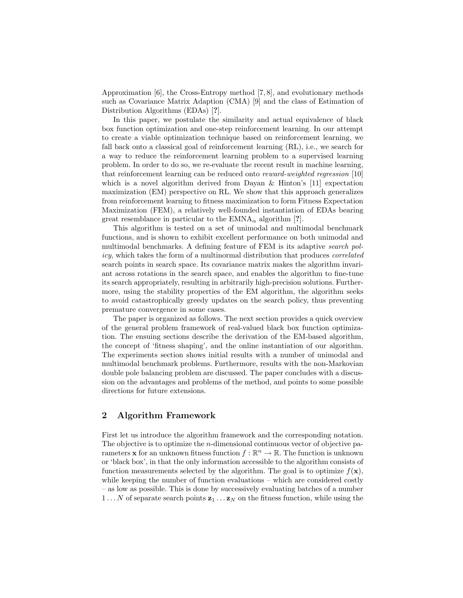Approximation [6], the Cross-Entropy method [7, 8], and evolutionary methods such as Covariance Matrix Adaption (CMA) [9] and the class of Estimation of Distribution Algorithms (EDAs) [?].

In this paper, we postulate the similarity and actual equivalence of black box function optimization and one-step reinforcement learning. In our attempt to create a viable optimization technique based on reinforcement learning, we fall back onto a classical goal of reinforcement learning (RL), i.e., we search for a way to reduce the reinforcement learning problem to a supervised learning problem. In order to do so, we re-evaluate the recent result in machine learning, that reinforcement learning can be reduced onto reward-weighted regression [10] which is a novel algorithm derived from Dayan & Hinton's [11] expectation maximization (EM) perspective on RL. We show that this approach generalizes from reinforcement learning to fitness maximization to form Fitness Expectation Maximization (FEM), a relatively well-founded instantiation of EDAs bearing great resemblance in particular to the  $EMNA_{\alpha}$  algorithm [?].

This algorithm is tested on a set of unimodal and multimodal benchmark functions, and is shown to exhibit excellent performance on both unimodal and multimodal benchmarks. A defining feature of FEM is its adaptive search policy, which takes the form of a multinormal distribution that produces correlated search points in search space. Its covariance matrix makes the algorithm invariant across rotations in the search space, and enables the algorithm to fine-tune its search appropriately, resulting in arbitrarily high-precision solutions. Furthermore, using the stability properties of the EM algorithm, the algorithm seeks to avoid catastrophically greedy updates on the search policy, thus preventing premature convergence in some cases.

The paper is organized as follows. The next section provides a quick overview of the general problem framework of real-valued black box function optimization. The ensuing sections describe the derivation of the EM-based algorithm, the concept of 'fitness shaping', and the online instantiation of our algorithm. The experiments section shows initial results with a number of unimodal and multimodal benchmark problems. Furthermore, results with the non-Markovian double pole balancing problem are discussed. The paper concludes with a discussion on the advantages and problems of the method, and points to some possible directions for future extensions.

### 2 Algorithm Framework

First let us introduce the algorithm framework and the corresponding notation. The objective is to optimize the  $n$ -dimensional continuous vector of objective parameters **x** for an unknown fitness function  $f : \mathbb{R}^n \to \mathbb{R}$ . The function is unknown or 'black box', in that the only information accessible to the algorithm consists of function measurements selected by the algorithm. The goal is to optimize  $f(\mathbf{x})$ , while keeping the number of function evaluations – which are considered costly – as low as possible. This is done by successively evaluating batches of a number 1... N of separate search points  $z_1 \ldots z_N$  on the fitness function, while using the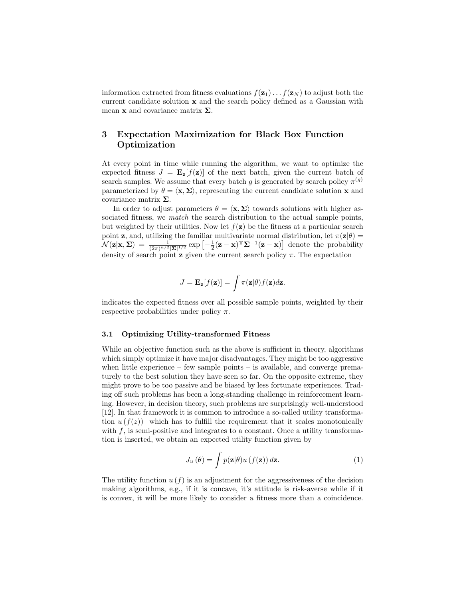information extracted from fitness evaluations  $f(\mathbf{z}_1) \dots f(\mathbf{z}_N)$  to adjust both the current candidate solution x and the search policy defined as a Gaussian with mean  $x$  and covariance matrix  $\Sigma$ .

## 3 Expectation Maximization for Black Box Function Optimization

At every point in time while running the algorithm, we want to optimize the expected fitness  $J = \mathbf{E}_{z}[f(z)]$  of the next batch, given the current batch of search samples. We assume that every batch g is generated by search policy  $\pi^{(g)}$ parameterized by  $\theta = \langle \mathbf{x}, \Sigma \rangle$ , representing the current candidate solution x and covariance matrix  $\Sigma$ .

In order to adjust parameters  $\theta = \langle x, \Sigma \rangle$  towards solutions with higher associated fitness, we *match* the search distribution to the actual sample points, but weighted by their utilities. Now let  $f(\mathbf{z})$  be the fitness at a particular search point **z**, and, utilizing the familiar multivariate normal distribution, let  $\pi(\mathbf{z}|\theta) =$  $\mathcal{N}(\mathbf{z}|\mathbf{x},\boldsymbol{\Sigma}) = \frac{1}{(2\pi)^{n/2}|\boldsymbol{\Sigma}|^{1/2}} \exp\left[-\frac{1}{2}(\mathbf{z}-\mathbf{x})^{\mathbf{T}}\boldsymbol{\Sigma}^{-1}(\mathbf{z}-\mathbf{x})\right]$  denote the probability density of search point **z** given the current search policy  $\pi$ . The expectation

$$
J = \mathbf{E}_{\mathbf{z}}[f(\mathbf{z})] = \int \pi(\mathbf{z}|\theta) f(\mathbf{z}) d\mathbf{z}.
$$

indicates the expected fitness over all possible sample points, weighted by their respective probabilities under policy  $\pi$ .

#### 3.1 Optimizing Utility-transformed Fitness

While an objective function such as the above is sufficient in theory, algorithms which simply optimize it have major disadvantages. They might be too aggressive when little experience – few sample points – is available, and converge prematurely to the best solution they have seen so far. On the opposite extreme, they might prove to be too passive and be biased by less fortunate experiences. Trading off such problems has been a long-standing challenge in reinforcement learning. However, in decision theory, such problems are surprisingly well-understood [12]. In that framework it is common to introduce a so-called utility transformation  $u(f(z))$  which has to fulfill the requirement that it scales monotonically with  $f$ , is semi-positive and integrates to a constant. Once a utility transformation is inserted, we obtain an expected utility function given by

$$
J_u(\theta) = \int p(\mathbf{z}|\theta) u(f(\mathbf{z})) d\mathbf{z}.
$$
 (1)

The utility function  $u(f)$  is an adjustment for the aggressiveness of the decision making algorithms, e.g., if it is concave, it's attitude is risk-averse while if it is convex, it will be more likely to consider a fitness more than a coincidence.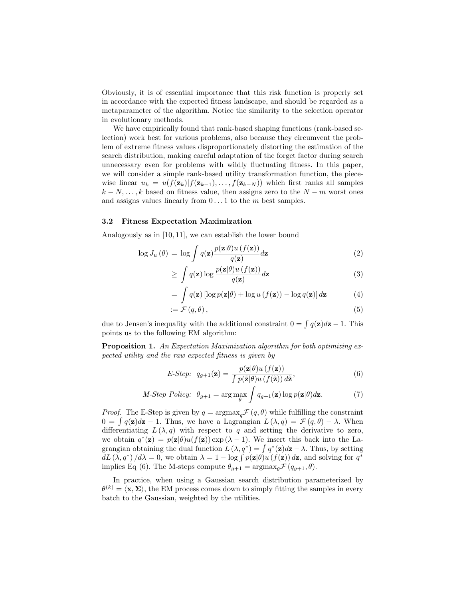Obviously, it is of essential importance that this risk function is properly set in accordance with the expected fitness landscape, and should be regarded as a metaparameter of the algorithm. Notice the similarity to the selection operator in evolutionary methods.

We have empirically found that rank-based shaping functions (rank-based selection) work best for various problems, also because they circumvent the problem of extreme fitness values disproportionately distorting the estimation of the search distribution, making careful adaptation of the forget factor during search unnecessary even for problems with wildly fluctuating fitness. In this paper, we will consider a simple rank-based utility transformation function, the piecewise linear  $u_k = u(f(\mathbf{z}_k)|f(\mathbf{z}_{k-1}),\ldots,f(\mathbf{z}_{k-N}))$  which first ranks all samples  $k - N, \ldots, k$  based on fitness value, then assigns zero to the  $N - m$  worst ones and assigns values linearly from  $0 \dots 1$  to the m best samples.

#### 3.2 Fitness Expectation Maximization

Analogously as in [10, 11], we can establish the lower bound

$$
\log J_u(\theta) = \log \int q(\mathbf{z}) \frac{p(\mathbf{z}|\theta)u(f(\mathbf{z}))}{q(\mathbf{z})} d\mathbf{z}
$$
 (2)

$$
\geq \int q(\mathbf{z}) \log \frac{p(\mathbf{z}|\theta) u(f(\mathbf{z}))}{q(\mathbf{z})} d\mathbf{z}
$$
\n(3)

$$
= \int q(\mathbf{z}) \left[ \log p(\mathbf{z}|\theta) + \log u \left( f(\mathbf{z}) \right) - \log q(\mathbf{z}) \right] d\mathbf{z} \tag{4}
$$

$$
:=\mathcal{F}(q,\theta),\tag{5}
$$

due to Jensen's inequality with the additional constraint  $0 = \int q(\mathbf{z}) d\mathbf{z} - 1$ . This points us to the following EM algorithm:

Proposition 1. An Expectation Maximization algorithm for both optimizing expected utility and the raw expected fitness is given by

$$
E\text{-Step: } q_{g+1}(\mathbf{z}) = \frac{p(\mathbf{z}|\theta)u(f(\mathbf{z}))}{\int p(\tilde{\mathbf{z}}|\theta)u(f(\tilde{\mathbf{z}})) d\tilde{\mathbf{z}}},\tag{6}
$$

$$
M\text{-Step Policy: } \theta_{g+1} = \arg\max_{\theta} \int q_{g+1}(\mathbf{z}) \log p(\mathbf{z}|\theta) d\mathbf{z}.
$$
 (7)

*Proof.* The E-Step is given by  $q = \argmax_q \mathcal{F}(q, \theta)$  while fulfilling the constraint  $0 = \int q(\mathbf{z})d\mathbf{z} - 1$ . Thus, we have a Lagrangian  $L(\lambda, q) = \mathcal{F}(q, \theta) - \lambda$ . When differentiating  $L(\lambda, q)$  with respect to q and setting the derivative to zero, we obtain  $q^*(\mathbf{z}) = p(\mathbf{z}|\theta)u(f(\mathbf{z}))\exp(\lambda - 1)$ . We insert this back into the Lagrangian obtaining the dual function  $L(\lambda, q^*) = \int q^*(\mathbf{z}) d\mathbf{z} - \lambda$ . Thus, by setting  $dL(\lambda, q^*)/d\lambda = 0$ , we obtain  $\lambda = 1 - \log \int p(\mathbf{z}|\theta) u(f(\mathbf{z})) d\mathbf{z}$ , and solving for  $q^*$ implies Eq (6). The M-steps compute  $\theta_{q+1} = \arg \max_{\theta} \mathcal{F}(q_{q+1}, \theta)$ .

In practice, when using a Gaussian search distribution parameterized by  $\theta^{(k)} = \langle \mathbf{x}, \mathbf{\Sigma} \rangle$ , the EM process comes down to simply fitting the samples in every batch to the Gaussian, weighted by the utilities.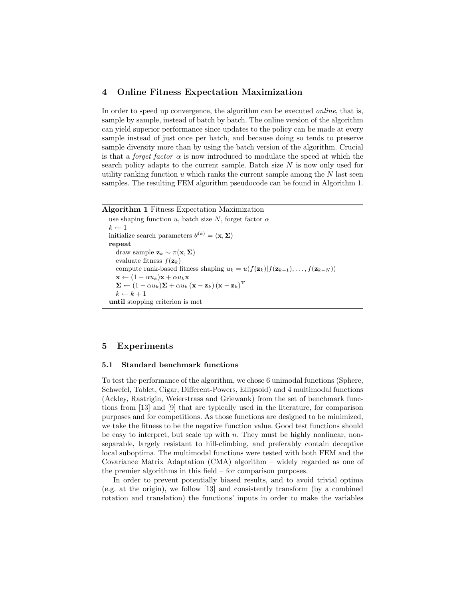### 4 Online Fitness Expectation Maximization

In order to speed up convergence, the algorithm can be executed *online*, that is, sample by sample, instead of batch by batch. The online version of the algorithm can yield superior performance since updates to the policy can be made at every sample instead of just once per batch, and because doing so tends to preserve sample diversity more than by using the batch version of the algorithm. Crucial is that a *forget factor*  $\alpha$  is now introduced to modulate the speed at which the search policy adapts to the current sample. Batch size  $N$  is now only used for utility ranking function  $u$  which ranks the current sample among the  $N$  last seen samples. The resulting FEM algorithm pseudocode can be found in Algorithm 1.

```
Algorithm 1 Fitness Expectation Maximization
use shaping function u, batch size N, forget factor \alphak \leftarrow 1initialize search parameters \theta^{(k)} = \langle \mathbf{x}, \boldsymbol{\Sigma} \ranglerepeat
    draw sample \mathbf{z}_k \sim \pi(\mathbf{x}, \Sigma)evaluate fitness f(\mathbf{z}_k)compute rank-based fitness shaping u_k = u(f(\mathbf{z}_k)|f(\mathbf{z}_{k-1}), \ldots, f(\mathbf{z}_{k-N}))\mathbf{x} \leftarrow (1 - \alpha u_k) \mathbf{x} + \alpha u_k \mathbf{x}\mathbf{\Sigma} \leftarrow \left(1 - \alpha u_k\right)\mathbf{\Sigma} + \alpha u_k\left(\mathbf{x} - \mathbf{z}_k\right)\left(\mathbf{x} - \mathbf{z}_k\right)^{\mathbf{T}}k \leftarrow k + 1until stopping criterion is met
```
### 5 Experiments

#### 5.1 Standard benchmark functions

To test the performance of the algorithm, we chose 6 unimodal functions (Sphere, Schwefel, Tablet, Cigar, Different-Powers, Ellipsoid) and 4 multimodal functions (Ackley, Rastrigin, Weierstrass and Griewank) from the set of benchmark functions from [13] and [9] that are typically used in the literature, for comparison purposes and for competitions. As those functions are designed to be minimized, we take the fitness to be the negative function value. Good test functions should be easy to interpret, but scale up with  $n$ . They must be highly nonlinear, nonseparable, largely resistant to hill-climbing, and preferably contain deceptive local suboptima. The multimodal functions were tested with both FEM and the Covariance Matrix Adaptation (CMA) algorithm – widely regarded as one of the premier algorithms in this field – for comparison purposes.

In order to prevent potentially biased results, and to avoid trivial optima (e.g. at the origin), we follow [13] and consistently transform (by a combined rotation and translation) the functions' inputs in order to make the variables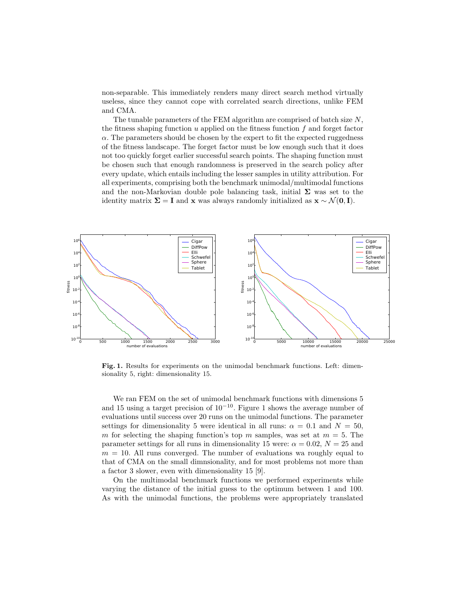non-separable. This immediately renders many direct search method virtually useless, since they cannot cope with correlated search directions, unlike FEM and CMA.

The tunable parameters of the FEM algorithm are comprised of batch size  $N$ , the fitness shaping function  $u$  applied on the fitness function  $f$  and forget factor  $\alpha$ . The parameters should be chosen by the expert to fit the expected ruggedness of the fitness landscape. The forget factor must be low enough such that it does not too quickly forget earlier successful search points. The shaping function must be chosen such that enough randomness is preserved in the search policy after every update, which entails including the lesser samples in utility attribution. For all experiments, comprising both the benchmark unimodal/multimodal functions and the non-Markovian double pole balancing task, initial  $\Sigma$  was set to the identity matrix  $\Sigma = I$  and x was always randomly initialized as  $x \sim \mathcal{N}(0, I)$ .



Fig. 1. Results for experiments on the unimodal benchmark functions. Left: dimensionality 5, right: dimensionality 15.

We ran FEM on the set of unimodal benchmark functions with dimensions 5 and 15 using a target precision of  $10^{-10}$ . Figure 1 shows the average number of evaluations until success over 20 runs on the unimodal functions. The parameter settings for dimensionality 5 were identical in all runs:  $\alpha = 0.1$  and  $N = 50$ , m for selecting the shaping function's top m samples, was set at  $m = 5$ . The parameter settings for all runs in dimensionality 15 were:  $\alpha = 0.02$ ,  $N = 25$  and  $m = 10$ . All runs converged. The number of evaluations wa roughly equal to that of CMA on the small dimnsionality, and for most problems not more than a factor 3 slower, even with dimensionality 15 [9].

On the multimodal benchmark functions we performed experiments while varying the distance of the initial guess to the optimum between 1 and 100. As with the unimodal functions, the problems were appropriately translated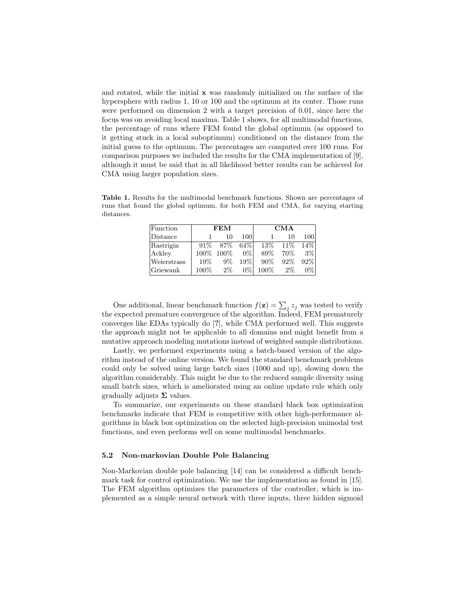and rotated, while the initial  $x$  was randomly initialized on the surface of the hypersphere with radius 1, 10 or 100 and the optimum at its center. Those runs were performed on dimension 2 with a target precision of 0.01, since here the focus was on avoiding local maxima. Table 1 shows, for all multimodal functions, the percentage of runs where FEM found the global optimum (as opposed to it getting stuck in a local suboptimum) conditioned on the distance from the initial guess to the optimum. The percentages are computed over 100 runs. For comparison purposes we included the results for the CMA implementation of [9], although it must be said that in all likelihood better results can be achieved for CMA using larger population sizes.

Table 1. Results for the multimodal benchmark functions. Shown are percentages of runs that found the global optimum, for both FEM and CMA, for varying starting distances.

| Function    | FEM     |             |        | CMA     |        |       |
|-------------|---------|-------------|--------|---------|--------|-------|
| Distance    |         | 10          | 100    |         | 10     | 100   |
| Rastrigin   |         | 91\% 87\%   | $64\%$ | $13\%$  | $11\%$ | 14%   |
| Ackley      |         | 100\% 100\% | $0\%$  | 89\%    | 70\%   | $3\%$ |
| Weierstrass | $19\%$  | $9\%$       | 19%    | $90\%$  | $92\%$ | 92%   |
| Griewank    | $100\%$ | $2\%$       | $0\%$  | $100\%$ | $2\%$  | $0\%$ |

One additional, linear benchmark function  $f(\mathbf{z}) = \sum_j z_j$  was tested to verify the expected premature convergence of the algorithm. Indeed, FEM prematurely converges like EDAs typically do [?], while CMA performed well. This suggests the approach might not be applicable to all domains and might benefit from a mutative approach modeling mutations instead of weighted sample distributions.

Lastly, we performed experiments using a batch-based version of the algorithm instead of the online version. We found the standard benchmark problems could only be solved using large batch sizes (1000 and up), slowing down the algorithm considerably. This might be due to the reduced sample diversity using small batch sizes, which is ameliorated using an online update rule which only gradually adjusts  $\Sigma$  values.

To summarize, our experiments on these standard black box optimization benchmarks indicate that FEM is competitive with other high-performance algorithms in black box optimization on the selected high-precision unimodal test functions, and even performs well on some multimodal benchmarks.

#### 5.2 Non-markovian Double Pole Balancing

Non-Markovian double pole balancing [14] can be considered a difficult benchmark task for control optimization. We use the implementation as found in [15]. The FEM algorithm optimizes the parameters of the controller, which is implemented as a simple neural network with three inputs, three hidden sigmoid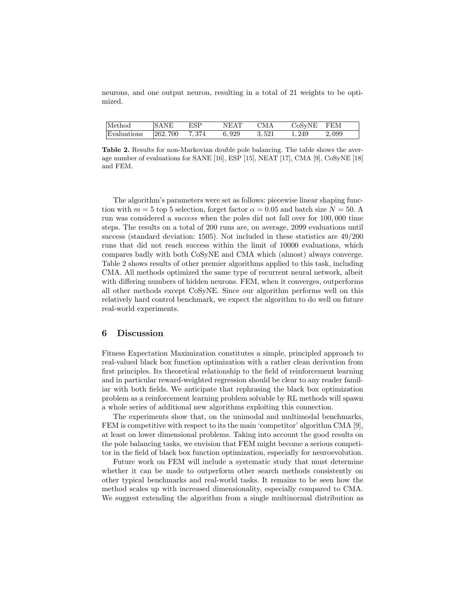neurons, and one output neuron, resulting in a total of 21 weights to be optimized.

| Method                             | SANE ESP | NEAT  | CMA   | CoSyNE FEM |       |
|------------------------------------|----------|-------|-------|------------|-------|
| Evaluations $ 262,700 \quad 7,374$ |          | 6,929 | 3,521 | 1,249      | 2,099 |

Table 2. Results for non-Markovian double pole balancing. The table shows the average number of evaluations for SANE [16], ESP [15], NEAT [17], CMA [9], CoSyNE [18] and FEM.

The algorithm's parameters were set as follows: piecewise linear shaping function with  $m = 5$  top 5 selection, forget factor  $\alpha = 0.05$  and batch size  $N = 50$ . run was considered a success when the poles did not fall over for 100, 000 time steps. The results on a total of 200 runs are, on average, 2099 evaluations until success (standard deviation: 1505). Not included in these statistics are 49/200 runs that did not reach success within the limit of 10000 evaluations, which compares badly with both CoSyNE and CMA which (almost) always converge. Table 2 shows results of other premier algorithms applied to this task, including CMA. All methods optimized the same type of recurrent neural network, albeit with differing numbers of hidden neurons. FEM, when it converges, outperforms all other methods except CoSyNE. Since our algorithm performs well on this relatively hard control benchmark, we expect the algorithm to do well on future real-world experiments.

#### 6 Discussion

Fitness Expectation Maximization constitutes a simple, principled approach to real-valued black box function optimization with a rather clean derivation from first principles. Its theoretical relationship to the field of reinforcement learning and in particular reward-weighted regression should be clear to any reader familiar with both fields. We anticipate that rephrasing the black box optimization problem as a reinforcement learning problem solvable by RL methods will spawn a whole series of additional new algorithms exploiting this connection.

The experiments show that, on the unimodal and multimodal benchmarks, FEM is competitive with respect to its the main 'competitor' algorithm CMA [9], at least on lower dimensional problems. Taking into account the good results on the pole balancing tasks, we envision that FEM might become a serious competitor in the field of black box function optimization, especially for neuroevolution.

Future work on FEM will include a systematic study that must determine whether it can be made to outperform other search methods consistently on other typical benchmarks and real-world tasks. It remains to be seen how the method scales up with increased dimensionality, especially compared to CMA. We suggest extending the algorithm from a single multinormal distribution as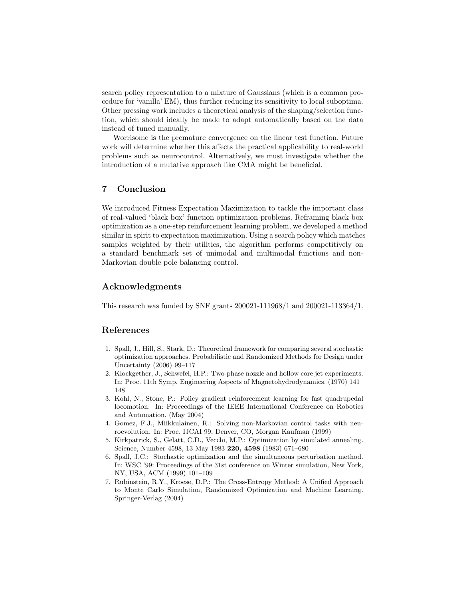search policy representation to a mixture of Gaussians (which is a common procedure for 'vanilla' EM), thus further reducing its sensitivity to local suboptima. Other pressing work includes a theoretical analysis of the shaping/selection function, which should ideally be made to adapt automatically based on the data instead of tuned manually.

Worrisome is the premature convergence on the linear test function. Future work will determine whether this affects the practical applicability to real-world problems such as neurocontrol. Alternatively, we must investigate whether the introduction of a mutative approach like CMA might be beneficial.

### 7 Conclusion

We introduced Fitness Expectation Maximization to tackle the important class of real-valued 'black box' function optimization problems. Reframing black box optimization as a one-step reinforcement learning problem, we developed a method similar in spirit to expectation maximization. Using a search policy which matches samples weighted by their utilities, the algorithm performs competitively on a standard benchmark set of unimodal and multimodal functions and non-Markovian double pole balancing control.

### Acknowledgments

This research was funded by SNF grants 200021-111968/1 and 200021-113364/1.

#### References

- 1. Spall, J., Hill, S., Stark, D.: Theoretical framework for comparing several stochastic optimization approaches. Probabilistic and Randomized Methods for Design under Uncertainty (2006) 99–117
- 2. Klockgether, J., Schwefel, H.P.: Two-phase nozzle and hollow core jet experiments. In: Proc. 11th Symp. Engineering Aspects of Magnetohydrodynamics. (1970) 141– 148
- 3. Kohl, N., Stone, P.: Policy gradient reinforcement learning for fast quadrupedal locomotion. In: Proceedings of the IEEE International Conference on Robotics and Automation. (May 2004)
- 4. Gomez, F.J., Miikkulainen, R.: Solving non-Markovian control tasks with neuroevolution. In: Proc. IJCAI 99, Denver, CO, Morgan Kaufman (1999)
- 5. Kirkpatrick, S., Gelatt, C.D., Vecchi, M.P.: Optimization by simulated annealing. Science, Number 4598, 13 May 1983 220, 4598 (1983) 671–680
- 6. Spall, J.C.: Stochastic optimization and the simultaneous perturbation method. In: WSC '99: Proceedings of the 31st conference on Winter simulation, New York, NY, USA, ACM (1999) 101–109
- 7. Rubinstein, R.Y., Kroese, D.P.: The Cross-Entropy Method: A Unified Approach to Monte Carlo Simulation, Randomized Optimization and Machine Learning. Springer-Verlag (2004)